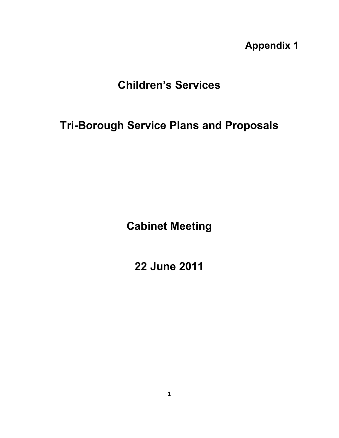**Appendix 1** 

# **Children's Services**

# **Tri-Borough Service Plans and Proposals**

**Cabinet Meeting** 

**22 June 2011**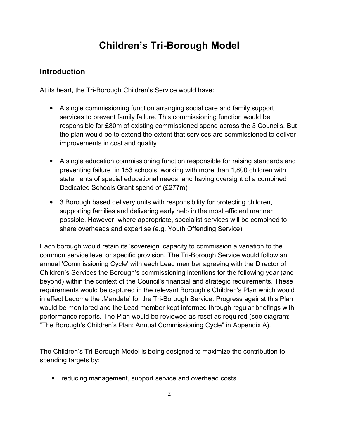# **Children's Tri-Borough Model**

### **Introduction**

At its heart, the Tri-Borough Children's Service would have:

- A single commissioning function arranging social care and family support services to prevent family failure. This commissioning function would be responsible for £80m of existing commissioned spend across the 3 Councils. But the plan would be to extend the extent that services are commissioned to deliver improvements in cost and quality.
- A single education commissioning function responsible for raising standards and preventing failure in 153 schools; working with more than 1,800 children with statements of special educational needs, and having oversight of a combined Dedicated Schools Grant spend of (£277m)
- 3 Borough based delivery units with responsibility for protecting children, supporting families and delivering early help in the most efficient manner possible. However, where appropriate, specialist services will be combined to share overheads and expertise (e.g. Youth Offending Service)

Each borough would retain its 'sovereign' capacity to commission a variation to the common service level or specific provision. The Tri-Borough Service would follow an annual 'Commissioning Cycle' with each Lead member agreeing with the Director of Children's Services the Borough's commissioning intentions for the following year (and beyond) within the context of the Council's financial and strategic requirements. These requirements would be captured in the relevant Borough's Children's Plan which would in effect become the .Mandate' for the Tri-Borough Service. Progress against this Plan would be monitored and the Lead member kept informed through regular briefings with performance reports. The Plan would be reviewed as reset as required (see diagram: "The Borough's Children's Plan: Annual Commissioning Cycle" in Appendix A).

The Children's Tri-Borough Model is being designed to maximize the contribution to spending targets by:

• reducing management, support service and overhead costs.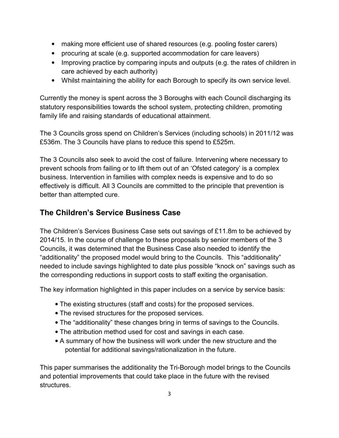- making more efficient use of shared resources (e.g. pooling foster carers)
- procuring at scale (e.g. supported accommodation for care leavers)
- Improving practice by comparing inputs and outputs (e.g. the rates of children in care achieved by each authority)
- Whilst maintaining the ability for each Borough to specify its own service level.

Currently the money is spent across the 3 Boroughs with each Council discharging its statutory responsibilities towards the school system, protecting children, promoting family life and raising standards of educational attainment.

The 3 Councils gross spend on Children's Services (including schools) in 2011/12 was £536m. The 3 Councils have plans to reduce this spend to £525m.

The 3 Councils also seek to avoid the cost of failure. Intervening where necessary to prevent schools from failing or to lift them out of an 'Ofsted category' is a complex business. Intervention in families with complex needs is expensive and to do so effectively is difficult. All 3 Councils are committed to the principle that prevention is better than attempted cure.

### **The Children's Service Business Case**

The Children's Services Business Case sets out savings of £11.8m to be achieved by 2014/15. In the course of challenge to these proposals by senior members of the 3 Councils, it was determined that the Business Case also needed to identify the "additionality" the proposed model would bring to the Councils. This "additionality" needed to include savings highlighted to date plus possible "knock on" savings such as the corresponding reductions in support costs to staff exiting the organisation.

The key information highlighted in this paper includes on a service by service basis:

- The existing structures (staff and costs) for the proposed services.
- The revised structures for the proposed services.
- The "additionality" these changes bring in terms of savings to the Councils.
- The attribution method used for cost and savings in each case.
- A summary of how the business will work under the new structure and the potential for additional savings/rationalization in the future.

This paper summarises the additionality the Tri-Borough model brings to the Councils and potential improvements that could take place in the future with the revised structures.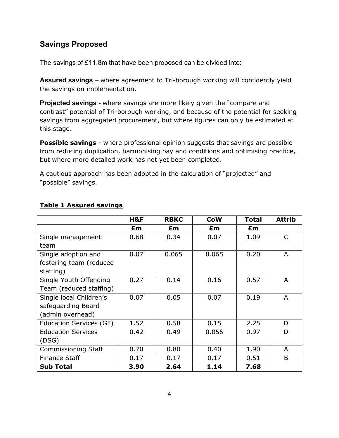### **Savings Proposed**

The savings of £11.8m that have been proposed can be divided into:

**Assured savings** – where agreement to Tri-borough working will confidently yield the savings on implementation.

**Projected savings** - where savings are more likely given the "compare and contrast" potential of Tri-borough working, and because of the potential for seeking savings from aggregated procurement, but where figures can only be estimated at this stage.

**Possible savings** - where professional opinion suggests that savings are possible from reducing duplication, harmonising pay and conditions and optimising practice, but where more detailed work has not yet been completed.

A cautious approach has been adopted in the calculation of "projected" and "possible" savings.

|                                | H&F  | <b>RBKC</b> | <b>CoW</b> | <b>Total</b> | <b>Attrib</b> |
|--------------------------------|------|-------------|------------|--------------|---------------|
|                                | £m   | £m          | £m         | £m           |               |
| Single management              | 0.68 | 0.34        | 0.07       | 1.09         | C             |
| team                           |      |             |            |              |               |
| Single adoption and            | 0.07 | 0.065       | 0.065      | 0.20         | A             |
| fostering team (reduced        |      |             |            |              |               |
| staffing)                      |      |             |            |              |               |
| Single Youth Offending         | 0.27 | 0.14        | 0.16       | 0.57         | A             |
| Team (reduced staffing)        |      |             |            |              |               |
| Single local Children's        | 0.07 | 0.05        | 0.07       | 0.19         | A             |
| safeguarding Board             |      |             |            |              |               |
| (admin overhead)               |      |             |            |              |               |
| <b>Education Services (GF)</b> | 1.52 | 0.58        | 0.15       | 2.25         | D             |
| <b>Education Services</b>      | 0.42 | 0.49        | 0.056      | 0.97         | D             |
| (DSG)                          |      |             |            |              |               |
| Commissioning Staff            | 0.70 | 0.80        | 0.40       | 1.90         | A             |
| <b>Finance Staff</b>           | 0.17 | 0.17        | 0.17       | 0.51         | B             |
| <b>Sub Total</b>               | 3.90 | 2.64        | 1.14       | 7.68         |               |

#### **Table 1 Assured savings**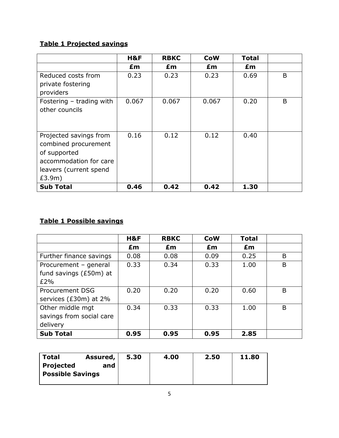### **Table 1 Projected savings**

|                                                                                                                              | H&F   | <b>RBKC</b> | <b>CoW</b> | <b>Total</b> |   |
|------------------------------------------------------------------------------------------------------------------------------|-------|-------------|------------|--------------|---|
|                                                                                                                              | £m    | £m          | £m         | £m           |   |
| Reduced costs from<br>private fostering<br>providers                                                                         | 0.23  | 0.23        | 0.23       | 0.69         | B |
| Fostering - trading with<br>other councils                                                                                   | 0.067 | 0.067       | 0.067      | 0.20         | B |
| Projected savings from<br>combined procurement<br>of supported<br>accommodation for care<br>leavers (current spend<br>£3.9m) | 0.16  | 0.12        | 0.12       | 0.40         |   |
| <b>Sub Total</b>                                                                                                             | 0.46  | 0.42        | 0.42       | 1.30         |   |

# **Table 1 Possible savings**

|                          | H&F  | <b>RBKC</b> | <b>CoW</b> | <b>Total</b> |   |
|--------------------------|------|-------------|------------|--------------|---|
|                          | £m   | £m          | Em         | Em           |   |
| Further finance savings  | 0.08 | 0.08        | 0.09       | 0.25         | B |
| Procurement - general    | 0.33 | 0.34        | 0.33       | 1.00         | B |
| fund savings (£50m) at   |      |             |            |              |   |
| £2%                      |      |             |            |              |   |
| <b>Procurement DSG</b>   | 0.20 | 0.20        | 0.20       | 0.60         | B |
| services (£30m) at 2%    |      |             |            |              |   |
| Other middle mgt         | 0.34 | 0.33        | 0.33       | 1.00         | B |
| savings from social care |      |             |            |              |   |
| delivery                 |      |             |            |              |   |
| <b>Sub Total</b>         | 0.95 | 0.95        | 0.95       | 2.85         |   |

| <b>Total</b>            | Assured, | 5.30 | 4.00 | 2.50 | 11.80 |
|-------------------------|----------|------|------|------|-------|
| Projected               | and      |      |      |      |       |
| <b>Possible Savings</b> |          |      |      |      |       |
|                         |          |      |      |      |       |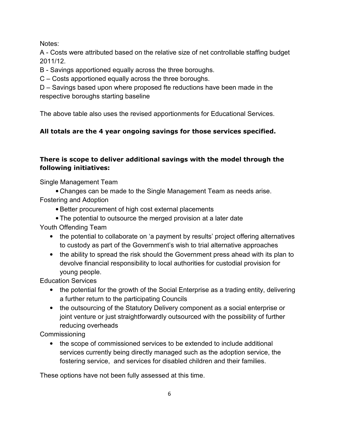Notes:

A - Costs were attributed based on the relative size of net controllable staffing budget 2011/12.

B - Savings apportioned equally across the three boroughs.

C – Costs apportioned equally across the three boroughs.

D – Savings based upon where proposed fte reductions have been made in the respective boroughs starting baseline

The above table also uses the revised apportionments for Educational Services.

### **All totals are the 4 year ongoing savings for those services specified.**

### **There is scope to deliver additional savings with the model through the following initiatives:**

Single Management Team

• Changes can be made to the Single Management Team as needs arise. Fostering and Adoption

- Better procurement of high cost external placements
- The potential to outsource the merged provision at a later date

Youth Offending Team

- the potential to collaborate on 'a payment by results' project offering alternatives to custody as part of the Government's wish to trial alternative approaches
- the ability to spread the risk should the Government press ahead with its plan to devolve financial responsibility to local authorities for custodial provision for young people.

Education Services

- the potential for the growth of the Social Enterprise as a trading entity, delivering a further return to the participating Councils
- the outsourcing of the Statutory Delivery component as a social enterprise or joint venture or just straightforwardly outsourced with the possibility of further reducing overheads

Commissioning

• the scope of commissioned services to be extended to include additional services currently being directly managed such as the adoption service, the fostering service, and services for disabled children and their families.

These options have not been fully assessed at this time.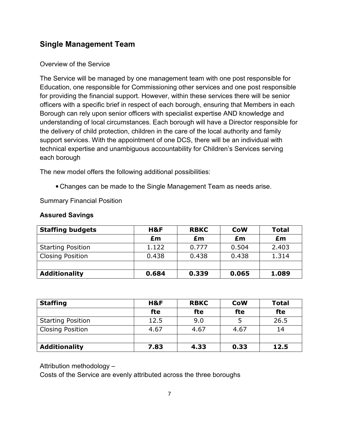### **Single Management Team**

#### Overview of the Service

The Service will be managed by one management team with one post responsible for Education, one responsible for Commissioning other services and one post responsible for providing the financial support. However, within these services there will be senior officers with a specific brief in respect of each borough, ensuring that Members in each Borough can rely upon senior officers with specialist expertise AND knowledge and understanding of local circumstances. Each borough will have a Director responsible for the delivery of child protection, children in the care of the local authority and family support services. With the appointment of one DCS, there will be an individual with technical expertise and unambiguous accountability for Children's Services serving each borough

The new model offers the following additional possibilities:

• Changes can be made to the Single Management Team as needs arise.

Summary Financial Position

#### **Assured Savings**

| <b>Staffing budgets</b>  | H&F   | <b>RBKC</b> | <b>CoW</b> | <b>Total</b> |
|--------------------------|-------|-------------|------------|--------------|
|                          | £m    | £m          | £m         | £m           |
| <b>Starting Position</b> | 1.122 | 0.777       | 0.504      | 2.403        |
| <b>Closing Position</b>  | 0.438 | 0.438       | 0.438      | 1.314        |
|                          |       |             |            |              |
| <b>Additionality</b>     | 0.684 | 0.339       | 0.065      | 1.089        |

| <b>Staffing</b>          | H&F  | <b>RBKC</b> | <b>CoW</b> | <b>Total</b> |
|--------------------------|------|-------------|------------|--------------|
|                          | fte  | fte         | fte        | fte          |
| <b>Starting Position</b> | 12.5 | 9.0         |            | 26.5         |
| <b>Closing Position</b>  | 4.67 | 4.67        | 4.67       | 14           |
|                          |      |             |            |              |
| <b>Additionality</b>     | 7.83 | 4.33        | 0.33       | 12.5         |

Attribution methodology –

Costs of the Service are evenly attributed across the three boroughs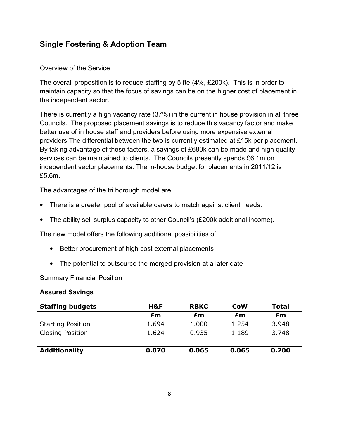### **Single Fostering & Adoption Team**

#### Overview of the Service

The overall proposition is to reduce staffing by 5 fte (4%, £200k). This is in order to maintain capacity so that the focus of savings can be on the higher cost of placement in the independent sector.

There is currently a high vacancy rate (37%) in the current in house provision in all three Councils. The proposed placement savings is to reduce this vacancy factor and make better use of in house staff and providers before using more expensive external providers The differential between the two is currently estimated at £15k per placement. By taking advantage of these factors, a savings of £680k can be made and high quality services can be maintained to clients. The Councils presently spends £6.1m on independent sector placements. The in-house budget for placements in 2011/12 is £5.6m.

The advantages of the tri borough model are:

- There is a greater pool of available carers to match against client needs.
- The ability sell surplus capacity to other Council's (£200k additional income).

The new model offers the following additional possibilities of

- Better procurement of high cost external placements
- The potential to outsource the merged provision at a later date

Summary Financial Position

| <b>Staffing budgets</b>  | H&F   | <b>RBKC</b> | <b>CoW</b> | Total |
|--------------------------|-------|-------------|------------|-------|
|                          | £m    | £m          | £m         | £m    |
| <b>Starting Position</b> | 1.694 | 1.000       | 1.254      | 3.948 |
| <b>Closing Position</b>  | 1.624 | 0.935       | 1.189      | 3.748 |
|                          |       |             |            |       |
| <b>Additionality</b>     | 0.070 | 0.065       | 0.065      | 0.200 |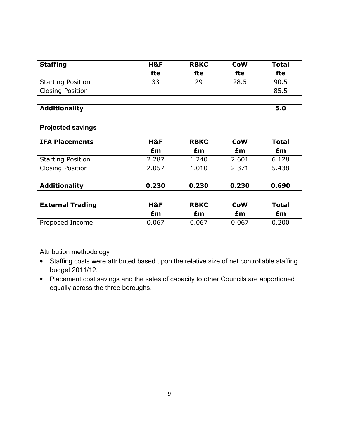| <b>Staffing</b>          | H&F | <b>RBKC</b> | <b>CoW</b> | <b>Total</b> |
|--------------------------|-----|-------------|------------|--------------|
|                          | fte | fte         | fte        | fte          |
| <b>Starting Position</b> | 33  | 29          | 28.5       | 90.5         |
| <b>Closing Position</b>  |     |             |            | 85.5         |
|                          |     |             |            |              |
| <b>Additionality</b>     |     |             |            | 5.0          |

#### **Projected savings**

| <b>IFA Placements</b>    | H&F   | <b>RBKC</b> | <b>CoW</b> | <b>Total</b> |
|--------------------------|-------|-------------|------------|--------------|
|                          | £m    | £m          | £m         | £m           |
| <b>Starting Position</b> | 2.287 | 1.240       | 2.601      | 6.128        |
| <b>Closing Position</b>  | 2.057 | 1.010       | 2.371      | 5.438        |
|                          |       |             |            |              |
| <b>Additionality</b>     | 0.230 | 0.230       | 0.230      | 0.690        |

| <b>External Trading</b> | H&F   | <b>RBKC</b> | <b>CoW</b> | <b>Total</b> |
|-------------------------|-------|-------------|------------|--------------|
|                         | £m    | £m          | £m         | £m           |
| Proposed Income         | 0.067 | 0.067       | 0.067      | 0.200        |

Attribution methodology

- Staffing costs were attributed based upon the relative size of net controllable staffing budget 2011/12.
- Placement cost savings and the sales of capacity to other Councils are apportioned equally across the three boroughs.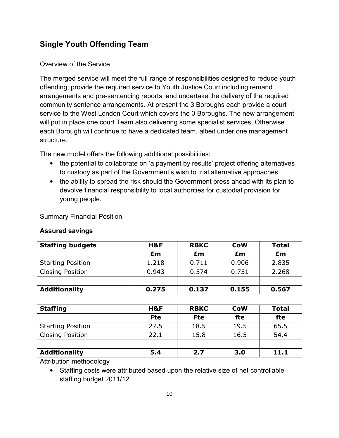## **Single Youth Offending Team**

#### Overview of the Service

The merged service will meet the full range of responsibilities designed to reduce youth offending; provide the required service to Youth Justice Court including remand arrangements and pre-sentencing reports; and undertake the delivery of the required community sentence arrangements. At present the 3 Boroughs each provide a court service to the West London Court which covers the 3 Boroughs. The new arrangement will put in place one court Team also delivering some specialist services. Otherwise each Borough will continue to have a dedicated team, albeit under one management structure.

The new model offers the following additional possibilities:

- the potential to collaborate on 'a payment by results' project offering alternatives to custody as part of the Government's wish to trial alternative approaches
- the ability to spread the risk should the Government press ahead with its plan to devolve financial responsibility to local authorities for custodial provision for young people.

Summary Financial Position

#### **Assured savings**

| <b>Staffing budgets</b>  | H&F   | <b>RBKC</b> | <b>CoW</b> | <b>Total</b> |
|--------------------------|-------|-------------|------------|--------------|
|                          | £m    | £m          | £m         | £m           |
| <b>Starting Position</b> | 1.218 | 0.711       | 0.906      | 2.835        |
| <b>Closing Position</b>  | 0.943 | 0.574       | 0.751      | 2.268        |
|                          |       |             |            |              |
| <b>Additionality</b>     | 0.275 | 0.137       | 0.155      | 0.567        |

| <b>Staffing</b>          | H&F        | <b>RBKC</b> | <b>CoW</b> | <b>Total</b> |
|--------------------------|------------|-------------|------------|--------------|
|                          | <b>Fte</b> | <b>Fte</b>  | fte        | fte          |
| <b>Starting Position</b> | 27.5       | 18.5        | 19.5       | 65.5         |
| <b>Closing Position</b>  | 22.1       | 15.8        | 16.5       | 54.4         |
|                          |            |             |            |              |
| <b>Additionality</b>     | 5.4        | 2.7         | 3.0        | 11.1         |

Attribution methodology

• Staffing costs were attributed based upon the relative size of net controllable staffing budget 2011/12.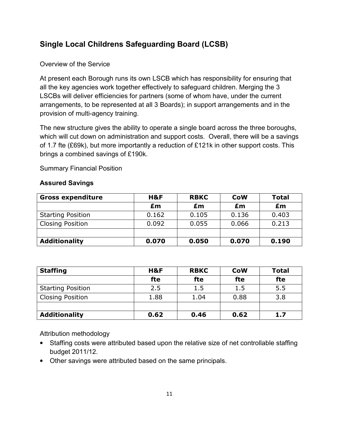# **Single Local Childrens Safeguarding Board (LCSB)**

#### Overview of the Service

At present each Borough runs its own LSCB which has responsibility for ensuring that all the key agencies work together effectively to safeguard children. Merging the 3 LSCBs will deliver efficiencies for partners (some of whom have, under the current arrangements, to be represented at all 3 Boards); in support arrangements and in the provision of multi-agency training.

The new structure gives the ability to operate a single board across the three boroughs, which will cut down on administration and support costs. Overall, there will be a savings of 1.7 fte (£69k), but more importantly a reduction of £121k in other support costs. This brings a combined savings of £190k.

Summary Financial Position

#### **Assured Savings**

| <b>Gross expenditure</b> | H&F   | <b>RBKC</b> | <b>CoW</b> | <b>Total</b> |
|--------------------------|-------|-------------|------------|--------------|
|                          | £m    | £m          | £m         | £m           |
| <b>Starting Position</b> | 0.162 | 0.105       | 0.136      | 0.403        |
| <b>Closing Position</b>  | 0.092 | 0.055       | 0.066      | 0.213        |
|                          |       |             |            |              |
| <b>Additionality</b>     | 0.070 | 0.050       | 0.070      | 0.190        |

| <b>Staffing</b>          | H&F  | <b>RBKC</b> | <b>CoW</b> | <b>Total</b> |
|--------------------------|------|-------------|------------|--------------|
|                          | fte  | fte         | fte        | fte          |
| <b>Starting Position</b> | 2.5  | 1.5         | 1.5        | 5.5          |
| <b>Closing Position</b>  | 1.88 | 1.04        | 0.88       | 3.8          |
|                          |      |             |            |              |
| <b>Additionality</b>     | 0.62 | 0.46        | 0.62       | 1.7          |

Attribution methodology

- Staffing costs were attributed based upon the relative size of net controllable staffing budget 2011/12.
- Other savings were attributed based on the same principals.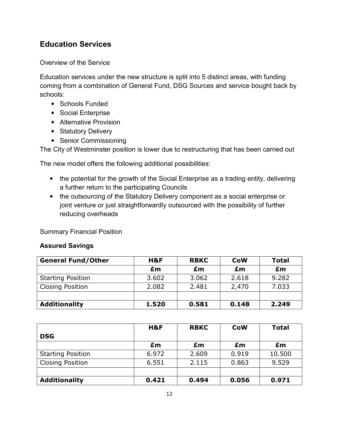### **Education Services**

Overview of the Service

Education services under the new structure is split into 5 distinct areas, with funding coming from a combination of General Fund, DSG Sources and service bought back by schools:

- Schools Funded
- Social Enterprise
- Alternative Provision
- Statutory Delivery
- Senior Commissioning

The City of Westminster position is lower due to restructuring that has been carried out

The new model offers the following additional possibilities:

- the potential for the growth of the Social Enterprise as a trading entity, delivering a further return to the participating Councils
- the outsourcing of the Statutory Delivery component as a social enterprise or joint venture or just straightforwardly outsourced with the possibility of further reducing overheads

Summary Financial Position

| <b>General Fund/Other</b> | H&F   | <b>RBKC</b> | <b>CoW</b> | <b>Total</b> |
|---------------------------|-------|-------------|------------|--------------|
|                           | £m    | £m          | £m         | £m           |
| <b>Starting Position</b>  | 3.602 | 3.062       | 2.618      | 9.282        |
| <b>Closing Position</b>   | 2.082 | 2.481       | 2,470      | 7.033        |
|                           |       |             |            |              |
| <b>Additionality</b>      | 1.520 | 0.581       | 0.148      | 2.249        |

|                          | H&F   | <b>RBKC</b> | <b>CoW</b> | <b>Total</b> |
|--------------------------|-------|-------------|------------|--------------|
| <b>DSG</b>               |       |             |            |              |
|                          | £m    | £m          | £m         | £m           |
| <b>Starting Position</b> | 6.972 | 2.609       | 0.919      | 10.500       |
| <b>Closing Position</b>  | 6.551 | 2.115       | 0.863      | 9.529        |
|                          |       |             |            |              |
| <b>Additionality</b>     | 0.421 | 0.494       | 0.056      | 0.971        |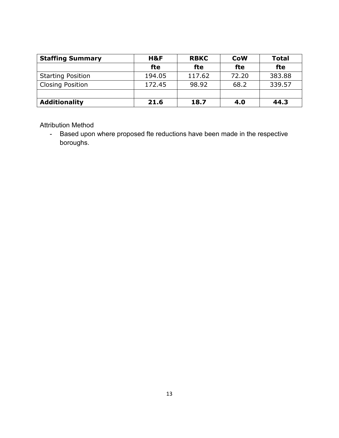| <b>Staffing Summary</b>  | H&F    | <b>RBKC</b> | <b>CoW</b> | <b>Total</b> |
|--------------------------|--------|-------------|------------|--------------|
|                          | fte    | fte         | fte        | fte          |
| <b>Starting Position</b> | 194.05 | 117.62      | 72.20      | 383.88       |
| <b>Closing Position</b>  | 172.45 | 98.92       | 68.2       | 339.57       |
|                          |        |             |            |              |
| <b>Additionality</b>     | 21.6   | 18.7        | 4.0        | 44.3         |

Attribution Method

- Based upon where proposed fte reductions have been made in the respective boroughs.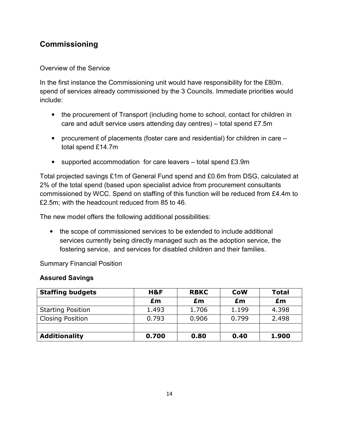# **Commissioning**

#### Overview of the Service

In the first instance the Commissioning unit would have responsibility for the £80m. spend of services already commissioned by the 3 Councils. Immediate priorities would include:

- the procurement of Transport (including home to school, contact for children in care and adult service users attending day centres) – total spend £7.5m
- procurement of placements (foster care and residential) for children in care total spend £14.7m
- supported accommodation for care leavers total spend £3.9m

Total projected savings £1m of General Fund spend and £0.6m from DSG, calculated at 2% of the total spend (based upon specialist advice from procurement consultants commissioned by WCC. Spend on staffing of this function will be reduced from £4.4m to £2.5m; with the headcount reduced from 85 to 46.

The new model offers the following additional possibilities:

• the scope of commissioned services to be extended to include additional services currently being directly managed such as the adoption service, the fostering service, and services for disabled children and their families.

Summary Financial Position

| <b>Staffing budgets</b>  | H&F   | <b>RBKC</b> | <b>CoW</b> | <b>Total</b> |
|--------------------------|-------|-------------|------------|--------------|
|                          | £m    | £m          | £m         | £m           |
| <b>Starting Position</b> | 1.493 | 1.706       | 1.199      | 4.398        |
| <b>Closing Position</b>  | 0.793 | 0.906       | 0.799      | 2.498        |
|                          |       |             |            |              |
| <b>Additionality</b>     | 0.700 | 0.80        | 0.40       | 1.900        |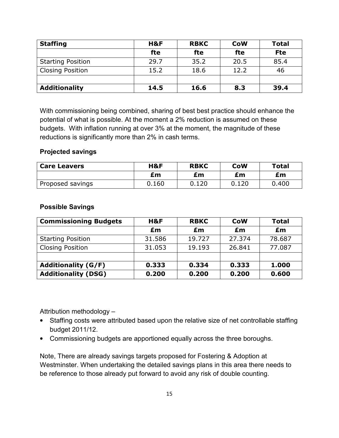| <b>Staffing</b>          | H&F  | <b>RBKC</b> | <b>CoW</b> | <b>Total</b> |
|--------------------------|------|-------------|------------|--------------|
|                          | fte  | fte         | fte        | <b>Fte</b>   |
| <b>Starting Position</b> | 29.7 | 35.2        | 20.5       | 85.4         |
| <b>Closing Position</b>  | 15.2 | 18.6        | 12.2       | 46           |
|                          |      |             |            |              |
| <b>Additionality</b>     | 14.5 | 16.6        | 8.3        | 39.4         |

With commissioning being combined, sharing of best best practice should enhance the potential of what is possible. At the moment a 2% reduction is assumed on these budgets. With inflation running at over 3% at the moment, the magnitude of these reductions is significantly more than 2% in cash terms.

#### **Projected savings**

| <b>Care Leavers</b> | H&F   | <b>RBKC</b> | <b>CoW</b> | <b>Total</b> |
|---------------------|-------|-------------|------------|--------------|
|                     | £m    | £m          | £m         | £m           |
| Proposed savings    | 0.160 | 0.120       | 0.120      | 0.400        |

#### **Possible Savings**

| <b>Commissioning Budgets</b> | H&F    | <b>RBKC</b> | <b>CoW</b> | <b>Total</b> |
|------------------------------|--------|-------------|------------|--------------|
|                              | £m     | £m          | £m         | £m           |
| <b>Starting Position</b>     | 31.586 | 19.727      | 27.374     | 78.687       |
| <b>Closing Position</b>      | 31.053 | 19.193      | 26.841     | 77.087       |
|                              |        |             |            |              |
| <b>Additionality (G/F)</b>   | 0.333  | 0.334       | 0.333      | 1.000        |
| <b>Additionality (DSG)</b>   | 0.200  | 0.200       | 0.200      | 0.600        |

Attribution methodology –

- Staffing costs were attributed based upon the relative size of net controllable staffing budget 2011/12.
- Commissioning budgets are apportioned equally across the three boroughs.

Note, There are already savings targets proposed for Fostering & Adoption at Westminster. When undertaking the detailed savings plans in this area there needs to be reference to those already put forward to avoid any risk of double counting.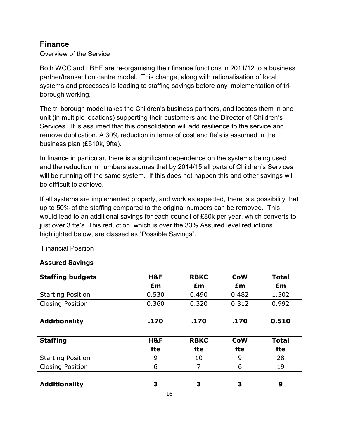### **Finance**

Overview of the Service

Both WCC and LBHF are re-organising their finance functions in 2011/12 to a business partner/transaction centre model. This change, along with rationalisation of local systems and processes is leading to staffing savings before any implementation of triborough working.

The tri borough model takes the Children's business partners, and locates them in one unit (in multiple locations) supporting their customers and the Director of Children's Services. It is assumed that this consolidation will add resilience to the service and remove duplication. A 30% reduction in terms of cost and fte's is assumed in the business plan (£510k, 9fte).

In finance in particular, there is a significant dependence on the systems being used and the reduction in numbers assumes that by 2014/15 all parts of Children's Services will be running off the same system. If this does not happen this and other savings will be difficult to achieve.

If all systems are implemented properly, and work as expected, there is a possibility that up to 50% of the staffing compared to the original numbers can be removed. This would lead to an additional savings for each council of £80k per year, which converts to just over 3 fte's. This reduction, which is over the 33% Assured level reductions highlighted below, are classed as "Possible Savings".

Financial Position

| <b>Staffing budgets</b>  | H&F   | <b>RBKC</b> | <b>CoW</b> | <b>Total</b> |
|--------------------------|-------|-------------|------------|--------------|
|                          | £m    | £m          | £m         | £m           |
| <b>Starting Position</b> | 0.530 | 0.490       | 0.482      | 1.502        |
| <b>Closing Position</b>  | 0.360 | 0.320       | 0.312      | 0.992        |
|                          |       |             |            |              |
| <b>Additionality</b>     | .170  | .170        | .170       | 0.510        |

| <b>Staffing</b>          | H&F | <b>RBKC</b> | <b>CoW</b> | <b>Total</b> |
|--------------------------|-----|-------------|------------|--------------|
|                          | fte | fte         | fte        | fte          |
| <b>Starting Position</b> |     | 10          |            | 28           |
| <b>Closing Position</b>  |     |             |            | 19           |
|                          |     |             |            |              |
| <b>Additionality</b>     | 3   | ∍           | 7          |              |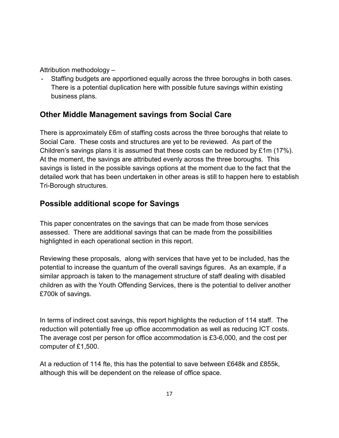Attribution methodology –

Staffing budgets are apportioned equally across the three boroughs in both cases. There is a potential duplication here with possible future savings within existing business plans.

# **Other Middle Management savings from Social Care**

There is approximately £6m of staffing costs across the three boroughs that relate to Social Care. These costs and structures are yet to be reviewed. As part of the Children's savings plans it is assumed that these costs can be reduced by £1m (17%). At the moment, the savings are attributed evenly across the three boroughs. This savings is listed in the possible savings options at the moment due to the fact that the detailed work that has been undertaken in other areas is still to happen here to establish Tri-Borough structures.

# **Possible additional scope for Savings**

This paper concentrates on the savings that can be made from those services assessed. There are additional savings that can be made from the possibilities highlighted in each operational section in this report.

Reviewing these proposals, along with services that have yet to be included, has the potential to increase the quantum of the overall savings figures. As an example, if a similar approach is taken to the management structure of staff dealing with disabled children as with the Youth Offending Services, there is the potential to deliver another £700k of savings.

In terms of indirect cost savings, this report highlights the reduction of 114 staff. The reduction will potentially free up office accommodation as well as reducing ICT costs. The average cost per person for office accommodation is £3-6,000, and the cost per computer of £1,500.

At a reduction of 114 fte, this has the potential to save between £648k and £855k, although this will be dependent on the release of office space.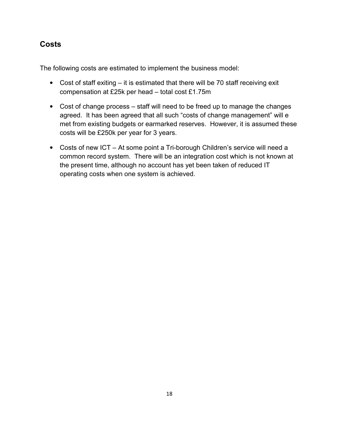### **Costs**

The following costs are estimated to implement the business model:

- Cost of staff exiting it is estimated that there will be 70 staff receiving exit compensation at £25k per head – total cost £1.75m
- Cost of change process staff will need to be freed up to manage the changes agreed. It has been agreed that all such "costs of change management" will e met from existing budgets or earmarked reserves. However, it is assumed these costs will be £250k per year for 3 years.
- Costs of new ICT At some point a Tri-borough Children's service will need a common record system. There will be an integration cost which is not known at the present time, although no account has yet been taken of reduced IT operating costs when one system is achieved.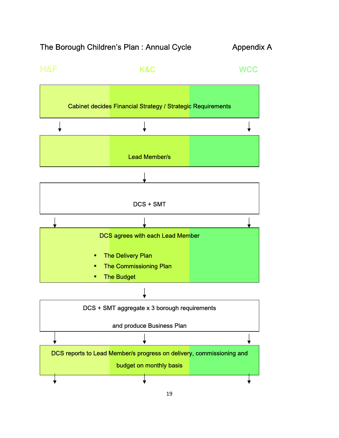# The Borough Children's Plan : Annual Cycle Appendix A

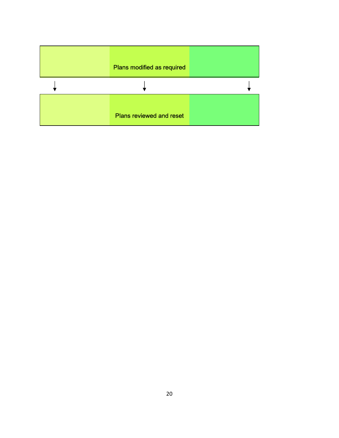| Plans modified as required      |  |
|---------------------------------|--|
|                                 |  |
| <b>Plans reviewed and reset</b> |  |